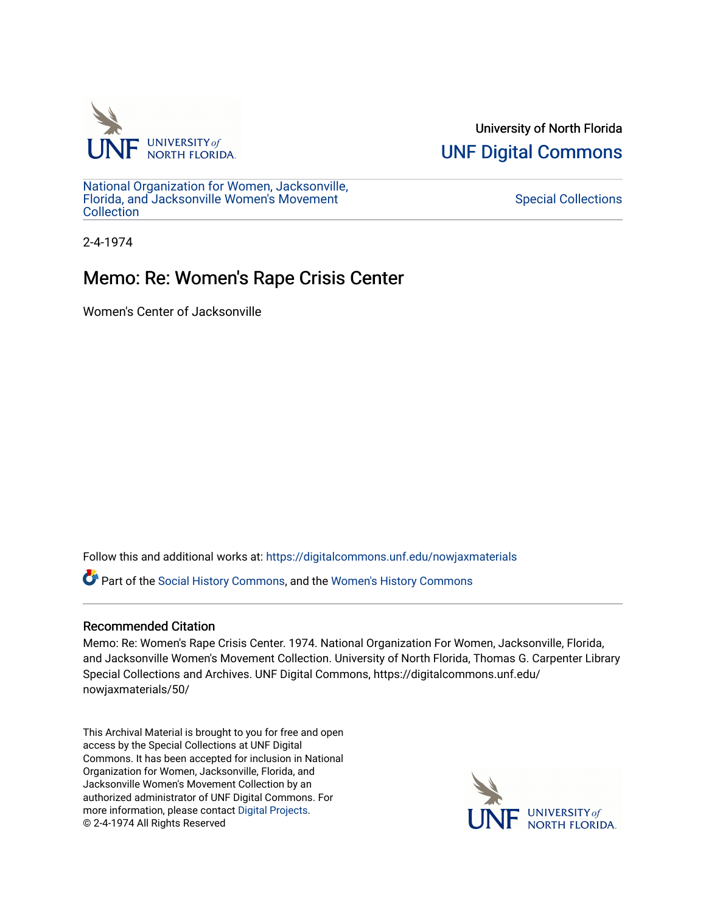

University of North Florida [UNF Digital Commons](https://digitalcommons.unf.edu/) 

[National Organization for Women, Jacksonville,](https://digitalcommons.unf.edu/nowjaxmaterials) [Florida, and Jacksonville Women's Movement](https://digitalcommons.unf.edu/nowjaxmaterials) [Collection](https://digitalcommons.unf.edu/nowjaxmaterials) 

[Special Collections](https://digitalcommons.unf.edu/special_collections) 

2-4-1974

## Memo: Re: Women's Rape Crisis Center

Women's Center of Jacksonville

Follow this and additional works at: [https://digitalcommons.unf.edu/nowjaxmaterials](https://digitalcommons.unf.edu/nowjaxmaterials?utm_source=digitalcommons.unf.edu%2Fnowjaxmaterials%2F50&utm_medium=PDF&utm_campaign=PDFCoverPages) 

Part of the [Social History Commons](http://network.bepress.com/hgg/discipline/506?utm_source=digitalcommons.unf.edu%2Fnowjaxmaterials%2F50&utm_medium=PDF&utm_campaign=PDFCoverPages), and the [Women's History Commons](http://network.bepress.com/hgg/discipline/507?utm_source=digitalcommons.unf.edu%2Fnowjaxmaterials%2F50&utm_medium=PDF&utm_campaign=PDFCoverPages)

## Recommended Citation

Memo: Re: Women's Rape Crisis Center. 1974. National Organization For Women, Jacksonville, Florida, and Jacksonville Women's Movement Collection. University of North Florida, Thomas G. Carpenter Library Special Collections and Archives. UNF Digital Commons, https://digitalcommons.unf.edu/ nowjaxmaterials/50/

This Archival Material is brought to you for free and open access by the Special Collections at UNF Digital Commons. It has been accepted for inclusion in National Organization for Women, Jacksonville, Florida, and Jacksonville Women's Movement Collection by an authorized administrator of UNF Digital Commons. For more information, please contact [Digital Projects](mailto:lib-digital@unf.edu). © 2-4-1974 All Rights Reserved